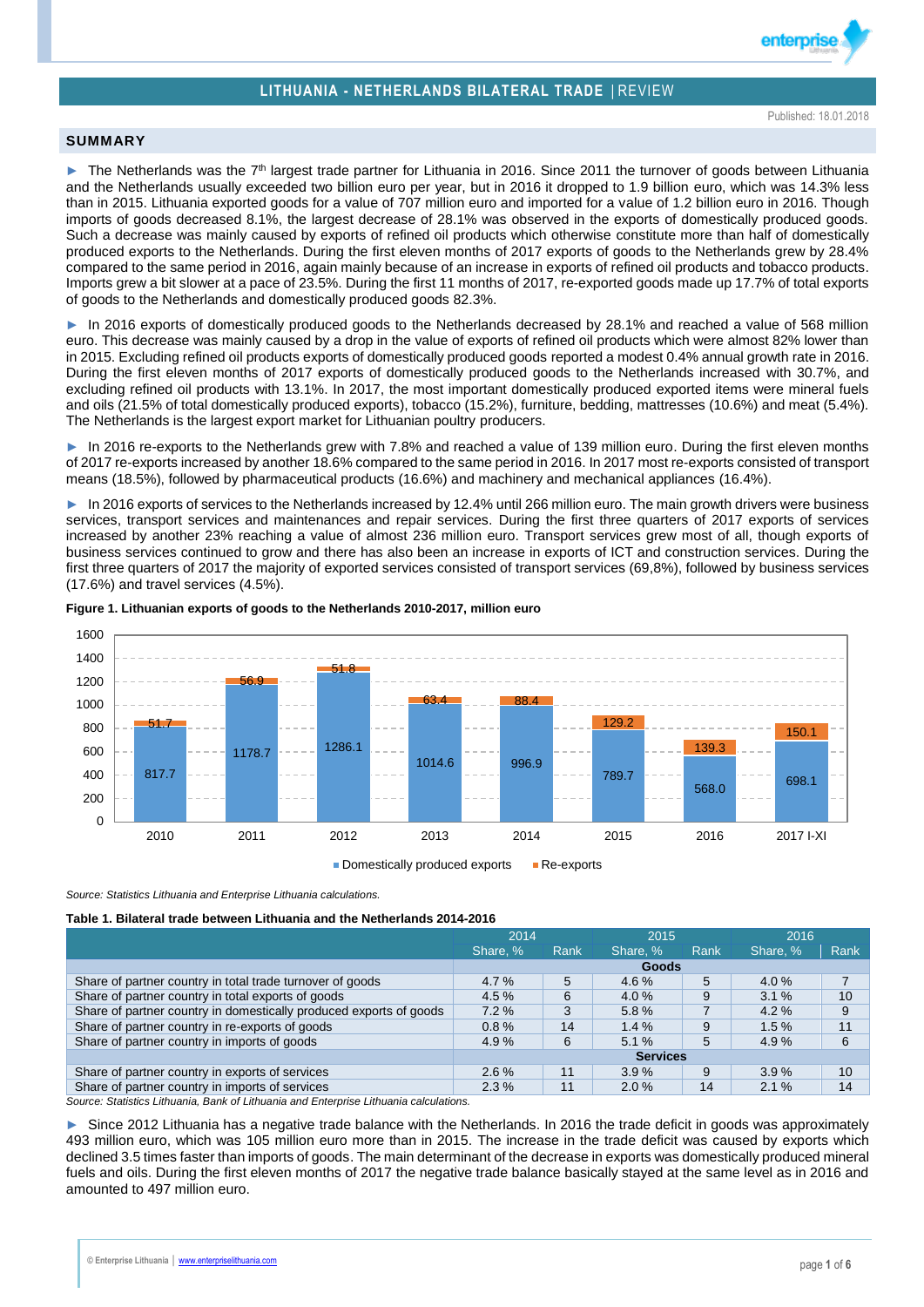



enterpris

## **SUMMARY**

► The Netherlands was the 7<sup>th</sup> largest trade partner for Lithuania in 2016. Since 2011 the turnover of goods between Lithuania and the Netherlands usually exceeded two billion euro per year, but in 2016 it dropped to 1.9 billion euro, which was 14.3% less than in 2015. Lithuania exported goods for a value of 707 million euro and imported for a value of 1.2 billion euro in 2016. Though imports of goods decreased 8.1%, the largest decrease of 28.1% was observed in the exports of domestically produced goods. Such a decrease was mainly caused by exports of refined oil products which otherwise constitute more than half of domestically produced exports to the Netherlands. During the first eleven months of 2017 exports of goods to the Netherlands grew by 28.4% compared to the same period in 2016, again mainly because of an increase in exports of refined oil products and tobacco products. Imports grew a bit slower at a pace of 23.5%. During the first 11 months of 2017, re-exported goods made up 17.7% of total exports of goods to the Netherlands and domestically produced goods 82.3%.

► In 2016 exports of domestically produced goods to the Netherlands decreased by 28.1% and reached a value of 568 million euro. This decrease was mainly caused by a drop in the value of exports of refined oil products which were almost 82% lower than in 2015. Excluding refined oil products exports of domestically produced goods reported a modest 0.4% annual growth rate in 2016. During the first eleven months of 2017 exports of domestically produced goods to the Netherlands increased with 30.7%, and excluding refined oil products with 13.1%. In 2017, the most important domestically produced exported items were mineral fuels and oils (21.5% of total domestically produced exports), tobacco (15.2%), furniture, bedding, mattresses (10.6%) and meat (5.4%). The Netherlands is the largest export market for Lithuanian poultry producers.

► In 2016 re-exports to the Netherlands grew with 7.8% and reached a value of 139 million euro. During the first eleven months of 2017 re-exports increased by another 18.6% compared to the same period in 2016. In 2017 most re-exports consisted of transport means (18.5%), followed by pharmaceutical products (16.6%) and machinery and mechanical appliances (16.4%).

In 2016 exports of services to the Netherlands increased by 12.4% until 266 million euro. The main growth drivers were business services, transport services and maintenances and repair services. During the first three quarters of 2017 exports of services increased by another 23% reaching a value of almost 236 million euro. Transport services grew most of all, though exports of business services continued to grow and there has also been an increase in exports of ICT and construction services. During the first three quarters of 2017 the majority of exported services consisted of transport services (69,8%), followed by business services (17.6%) and travel services (4.5%).



**Figure 1. Lithuanian exports of goods to the Netherlands 2010-2017, million euro**

**Domestically produced exports Re-exports** 

*Source: Statistics Lithuania and Enterprise Lithuania calculations.*

**Table 1. Bilateral trade between Lithuania and the Netherlands 2014-2016**

| 2014            |      | 2015     |      |          |      |
|-----------------|------|----------|------|----------|------|
| Share, %        | Rank | Share, % | Rank | Share, % | Rank |
|                 |      |          |      |          |      |
| 4.7%            | 5    | $4.6\%$  | 5    | 4.0%     |      |
| 4.5%            | 6    | $4.0\%$  | 9    | 3.1%     | 10   |
| 7.2%            | 3    | 5.8%     |      | 4.2%     | 9    |
| 0.8%            | 14   | 1.4%     | 9    | 1.5%     | 11   |
| 4.9%            | 6    | 5.1%     | 5    | 4.9%     | 6    |
| <b>Services</b> |      |          |      |          |      |
| $2.6\%$         | 11   | 3.9%     | 9    | 3.9%     | 10   |
| $2.3\%$         | 11   | 2.0%     | 14   | 2.1%     | 14   |
|                 |      |          |      | Goods    | 2016 |

*Source: Statistics Lithuania, Bank of Lithuania and Enterprise Lithuania calculations.*

► Since 2012 Lithuania has a negative trade balance with the Netherlands. In 2016 the trade deficit in goods was approximately 493 million euro, which was 105 million euro more than in 2015. The increase in the trade deficit was caused by exports which declined 3.5 times faster than imports of goods. The main determinant of the decrease in exports was domestically produced mineral fuels and oils. During the first eleven months of 2017 the negative trade balance basically stayed at the same level as in 2016 and amounted to 497 million euro.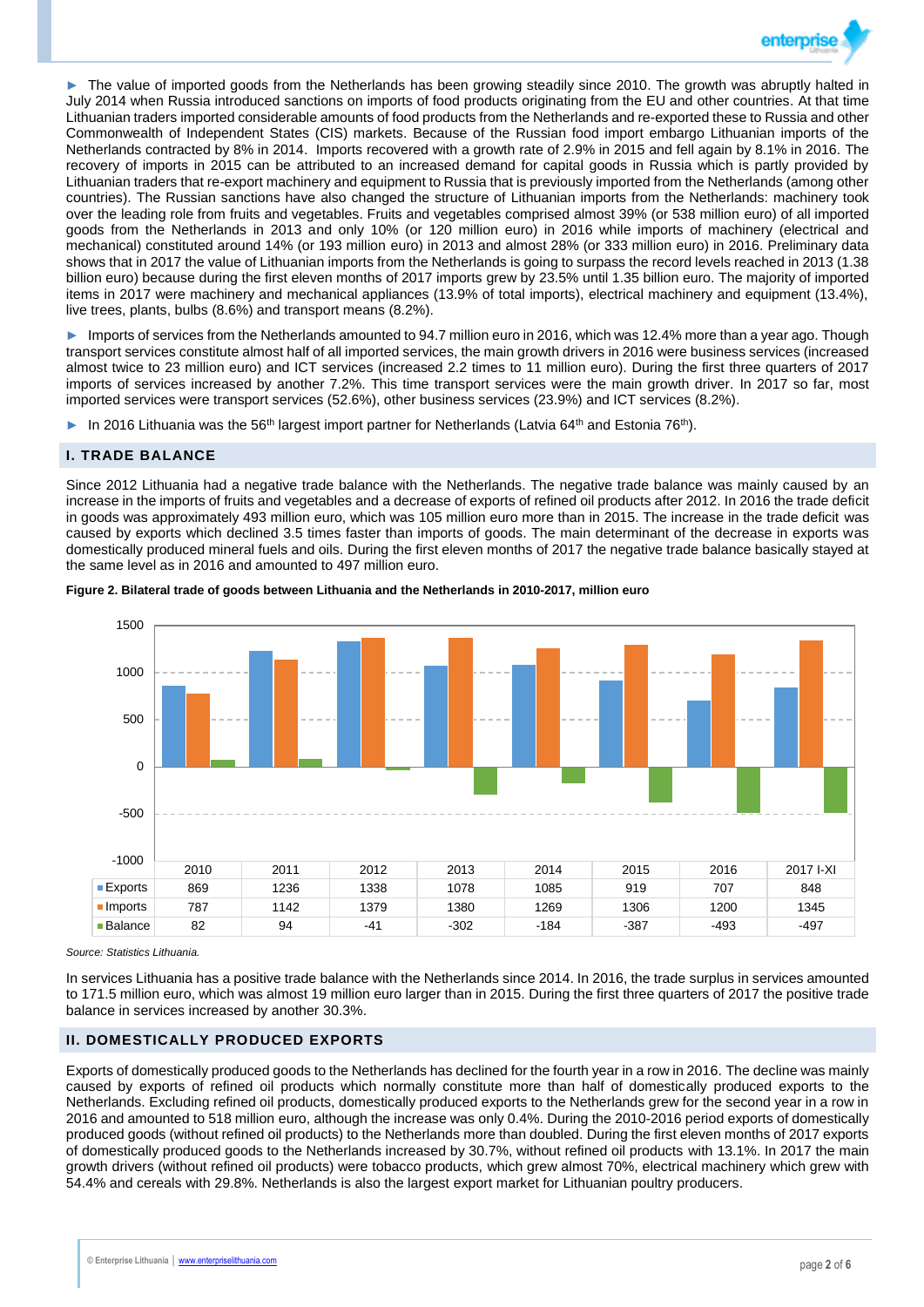

The value of imported goods from the Netherlands has been growing steadily since 2010. The growth was abruptly halted in July 2014 when Russia introduced sanctions on imports of food products originating from the EU and other countries. At that time Lithuanian traders imported considerable amounts of food products from the Netherlands and re-exported these to Russia and other Commonwealth of Independent States (CIS) markets. Because of the Russian food import embargo Lithuanian imports of the Netherlands contracted by 8% in 2014. Imports recovered with a growth rate of 2.9% in 2015 and fell again by 8.1% in 2016. The recovery of imports in 2015 can be attributed to an increased demand for capital goods in Russia which is partly provided by Lithuanian traders that re-export machinery and equipment to Russia that is previously imported from the Netherlands (among other countries). The Russian sanctions have also changed the structure of Lithuanian imports from the Netherlands: machinery took over the leading role from fruits and vegetables. Fruits and vegetables comprised almost 39% (or 538 million euro) of all imported goods from the Netherlands in 2013 and only 10% (or 120 million euro) in 2016 while imports of machinery (electrical and mechanical) constituted around 14% (or 193 million euro) in 2013 and almost 28% (or 333 million euro) in 2016. Preliminary data shows that in 2017 the value of Lithuanian imports from the Netherlands is going to surpass the record levels reached in 2013 (1.38 billion euro) because during the first eleven months of 2017 imports grew by 23.5% until 1.35 billion euro. The majority of imported items in 2017 were machinery and mechanical appliances (13.9% of total imports), electrical machinery and equipment (13.4%), live trees, plants, bulbs (8.6%) and transport means (8.2%).

► Imports of services from the Netherlands amounted to 94.7 million euro in 2016, which was 12.4% more than a year ago. Though transport services constitute almost half of all imported services, the main growth drivers in 2016 were business services (increased almost twice to 23 million euro) and ICT services (increased 2.2 times to 11 million euro). During the first three quarters of 2017 imports of services increased by another 7.2%. This time transport services were the main growth driver. In 2017 so far, most imported services were transport services (52.6%), other business services (23.9%) and ICT services (8.2%).

► In 2016 Lithuania was the 56<sup>th</sup> largest import partner for Netherlands (Latvia 64<sup>th</sup> and Estonia 76<sup>th</sup>).

## **I. TRADE BALANCE**

Since 2012 Lithuania had a negative trade balance with the Netherlands. The negative trade balance was mainly caused by an increase in the imports of fruits and vegetables and a decrease of exports of refined oil products after 2012. In 2016 the trade deficit in goods was approximately 493 million euro, which was 105 million euro more than in 2015. The increase in the trade deficit was caused by exports which declined 3.5 times faster than imports of goods. The main determinant of the decrease in exports was domestically produced mineral fuels and oils. During the first eleven months of 2017 the negative trade balance basically stayed at the same level as in 2016 and amounted to 497 million euro.





*Source: Statistics Lithuania.*

In services Lithuania has a positive trade balance with the Netherlands since 2014. In 2016, the trade surplus in services amounted to 171.5 million euro, which was almost 19 million euro larger than in 2015. During the first three quarters of 2017 the positive trade balance in services increased by another 30.3%.

## **II. DOMESTICALLY PRODUCED EXPORTS**

Exports of domestically produced goods to the Netherlands has declined for the fourth year in a row in 2016. The decline was mainly caused by exports of refined oil products which normally constitute more than half of domestically produced exports to the Netherlands. Excluding refined oil products, domestically produced exports to the Netherlands grew for the second year in a row in 2016 and amounted to 518 million euro, although the increase was only 0.4%. During the 2010-2016 period exports of domestically produced goods (without refined oil products) to the Netherlands more than doubled. During the first eleven months of 2017 exports of domestically produced goods to the Netherlands increased by 30.7%, without refined oil products with 13.1%. In 2017 the main growth drivers (without refined oil products) were tobacco products, which grew almost 70%, electrical machinery which grew with 54.4% and cereals with 29.8%. Netherlands is also the largest export market for Lithuanian poultry producers.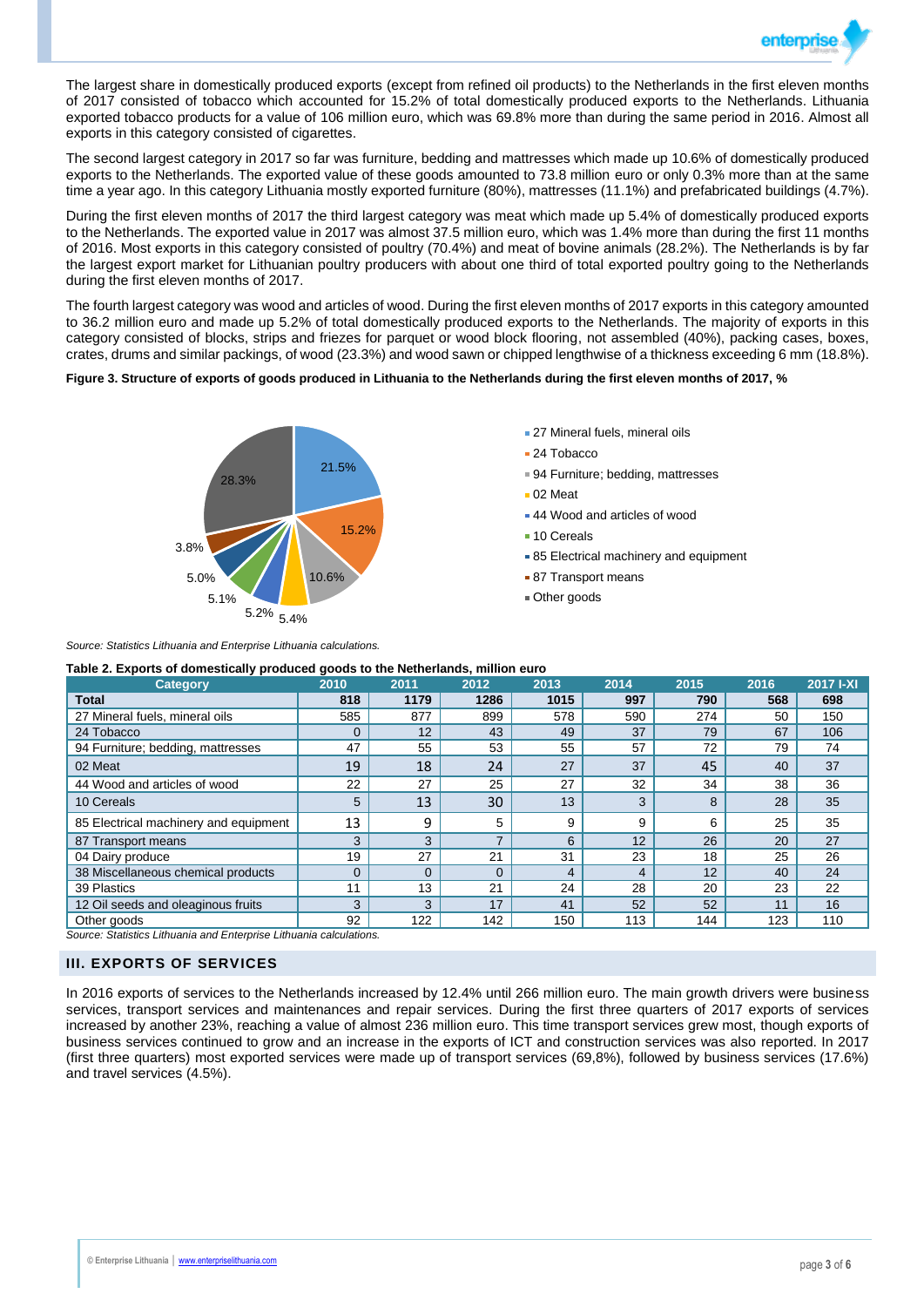

The largest share in domestically produced exports (except from refined oil products) to the Netherlands in the first eleven months of 2017 consisted of tobacco which accounted for 15.2% of total domestically produced exports to the Netherlands. Lithuania exported tobacco products for a value of 106 million euro, which was 69.8% more than during the same period in 2016. Almost all exports in this category consisted of cigarettes.

The second largest category in 2017 so far was furniture, bedding and mattresses which made up 10.6% of domestically produced exports to the Netherlands. The exported value of these goods amounted to 73.8 million euro or only 0.3% more than at the same time a year ago. In this category Lithuania mostly exported furniture (80%), mattresses (11.1%) and prefabricated buildings (4.7%).

During the first eleven months of 2017 the third largest category was meat which made up 5.4% of domestically produced exports to the Netherlands. The exported value in 2017 was almost 37.5 million euro, which was 1.4% more than during the first 11 months of 2016. Most exports in this category consisted of poultry (70.4%) and meat of bovine animals (28.2%). The Netherlands is by far the largest export market for Lithuanian poultry producers with about one third of total exported poultry going to the Netherlands during the first eleven months of 2017.

The fourth largest category was wood and articles of wood. During the first eleven months of 2017 exports in this category amounted to 36.2 million euro and made up 5.2% of total domestically produced exports to the Netherlands. The majority of exports in this category consisted of blocks, strips and friezes for parquet or wood block flooring, not assembled (40%), packing cases, boxes, crates, drums and similar packings, of wood (23.3%) and wood sawn or chipped lengthwise of a thickness exceeding 6 mm (18.8%).

### **Figure 3. Structure of exports of goods produced in Lithuania to the Netherlands during the first eleven months of 2017, %**



- **27 Mineral fuels, mineral oils**
- 24 Tobacco
- 94 Furniture; bedding, mattresses
- 02 Meat
- 44 Wood and articles of wood
- 10 Cereals
- **85 Electrical machinery and equipment**
- 87 Transport means
- Other goods

*Source: Statistics Lithuania and Enterprise Lithuania calculations.*

**Table 2. Exports of domestically produced goods to the Netherlands, million euro**

| <b>Category</b>                       | 2010 | 2011     | 2012           | 2013 | 2014 | 2015 | 2016 | 2017 I-XI |
|---------------------------------------|------|----------|----------------|------|------|------|------|-----------|
| <b>Total</b>                          | 818  | 1179     | 1286           | 1015 | 997  | 790  | 568  | 698       |
| 27 Mineral fuels, mineral oils        | 585  | 877      | 899            | 578  | 590  | 274  | 50   | 150       |
| 24 Tobacco                            | 0    | 12       | 43             | 49   | 37   | 79   | 67   | 106       |
| 94 Furniture; bedding, mattresses     | 47   | 55       | 53             | 55   | 57   | 72   | 79   | 74        |
| 02 Meat                               | 19   | 18       | 24             | 27   | 37   | 45   | 40   | 37        |
| 44 Wood and articles of wood          | 22   | 27       | 25             | 27   | 32   | 34   | 38   | 36        |
| 10 Cereals                            | 5    | 13       | 30             | 13   | 3    | 8    | 28   | 35        |
| 85 Electrical machinery and equipment | 13   | 9        | 5              | 9    | 9    | 6    | 25   | 35        |
| 87 Transport means                    | 3    | 3        | $\overline{7}$ | 6    | 12   | 26   | 20   | 27        |
| 04 Dairy produce                      | 19   | 27       | 21             | 31   | 23   | 18   | 25   | 26        |
| 38 Miscellaneous chemical products    | 0    | $\Omega$ | $\Omega$       |      | 4    | 12   | 40   | 24        |
| 39 Plastics                           | 11   | 13       | 21             | 24   | 28   | 20   | 23   | 22        |
| 12 Oil seeds and oleaginous fruits    | 3    | 3        | 17             | 41   | 52   | 52   | 11   | 16        |
| Other goods                           | 92   | 122      | 142            | 150  | 113  | 144  | 123  | 110       |

*Source: Statistics Lithuania and Enterprise Lithuania calculations.*

### **III. EXPORTS OF SERVICES**

In 2016 exports of services to the Netherlands increased by 12.4% until 266 million euro. The main growth drivers were business services, transport services and maintenances and repair services. During the first three quarters of 2017 exports of services increased by another 23%, reaching a value of almost 236 million euro. This time transport services grew most, though exports of business services continued to grow and an increase in the exports of ICT and construction services was also reported. In 2017 (first three quarters) most exported services were made up of transport services (69,8%), followed by business services (17.6%) and travel services (4.5%).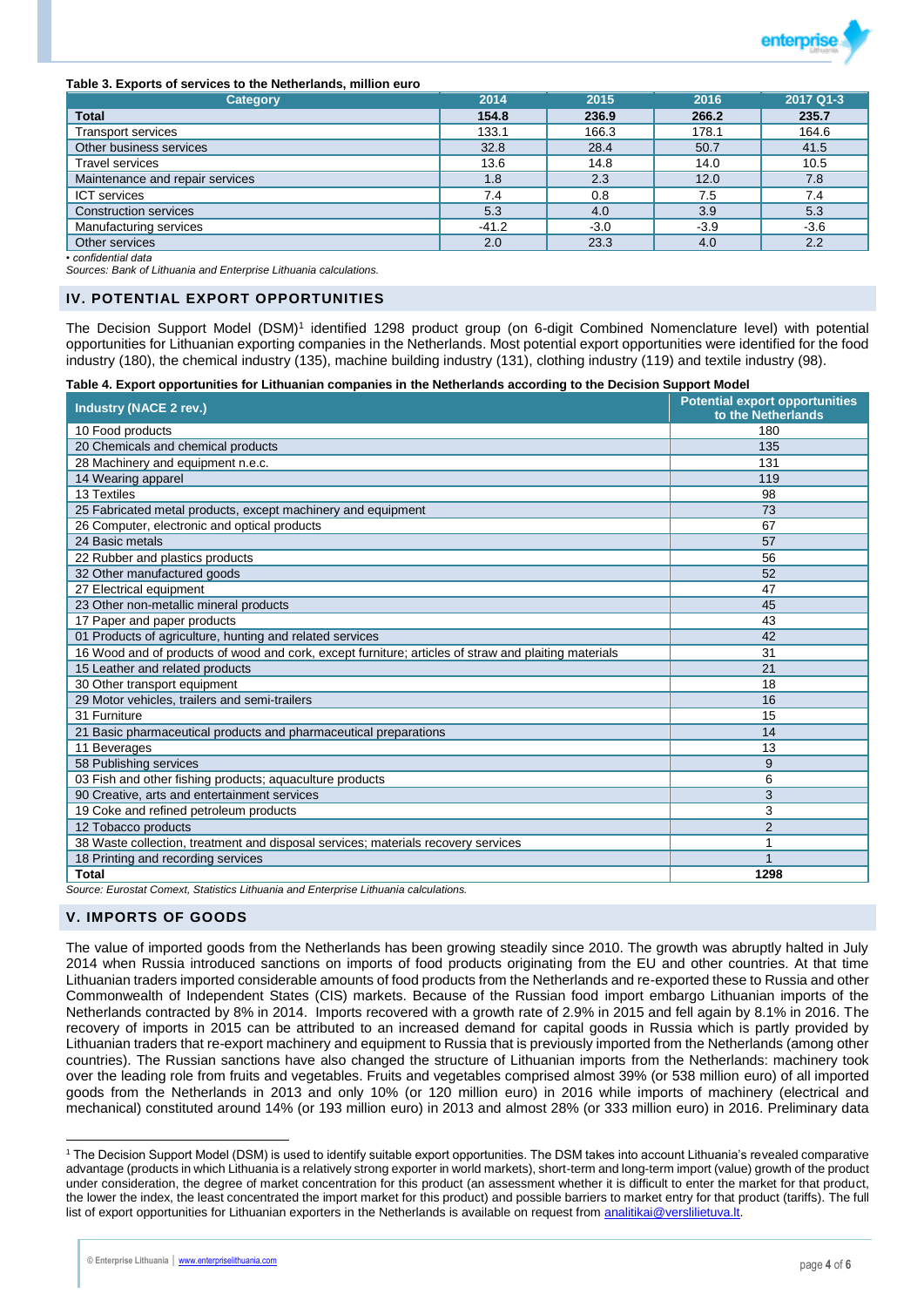

#### **Table 3. Exports of services to the Netherlands, million euro**

| <b>Category</b>                 | 2014    | 2015   | 2016   | 2017 Q1-3 |
|---------------------------------|---------|--------|--------|-----------|
| <b>Total</b>                    | 154.8   | 236.9  | 266.2  | 235.7     |
| <b>Transport services</b>       | 133.1   | 166.3  | 178.1  | 164.6     |
| Other business services         | 32.8    | 28.4   | 50.7   | 41.5      |
| <b>Travel services</b>          | 13.6    | 14.8   | 14.0   | 10.5      |
| Maintenance and repair services | 1.8     | 2.3    | 12.0   | 7.8       |
| <b>ICT</b> services             | 7.4     | 0.8    | 7.5    | 7.4       |
| <b>Construction services</b>    | 5.3     | 4.0    | 3.9    | 5.3       |
| Manufacturing services          | $-41.2$ | $-3.0$ | $-3.9$ | $-3.6$    |
| Other services                  | 2.0     | 23.3   | 4.0    | 2.2       |

*• confidential data*

*Sources: Bank of Lithuania and Enterprise Lithuania calculations.*

#### **IV. POTENTIAL EXPORT OPPORTUNITIES**

The Decision Support Model (DSM)<sup>1</sup> identified 1298 product group (on 6-digit Combined Nomenclature level) with potential opportunities for Lithuanian exporting companies in the Netherlands. Most potential export opportunities were identified for the food industry (180), the chemical industry (135), machine building industry (131), clothing industry (119) and textile industry (98).

**Table 4. Export opportunities for Lithuanian companies in the Netherlands according to the Decision Support Model**

| <b>Industry (NACE 2 rev.)</b>                                                                        | <b>Potential export opportunities</b><br>to the Netherlands |
|------------------------------------------------------------------------------------------------------|-------------------------------------------------------------|
| 10 Food products                                                                                     | 180                                                         |
| 20 Chemicals and chemical products                                                                   | 135                                                         |
| 28 Machinery and equipment n.e.c.                                                                    | 131                                                         |
| 14 Wearing apparel                                                                                   | 119                                                         |
| 13 Textiles                                                                                          | 98                                                          |
| 25 Fabricated metal products, except machinery and equipment                                         | 73                                                          |
| 26 Computer, electronic and optical products                                                         | 67                                                          |
| 24 Basic metals                                                                                      | 57                                                          |
| 22 Rubber and plastics products                                                                      | 56                                                          |
| 32 Other manufactured goods                                                                          | 52                                                          |
| 27 Electrical equipment                                                                              | 47                                                          |
| 23 Other non-metallic mineral products                                                               | 45                                                          |
| 17 Paper and paper products                                                                          | 43                                                          |
| 01 Products of agriculture, hunting and related services                                             | 42                                                          |
| 16 Wood and of products of wood and cork, except furniture; articles of straw and plaiting materials | 31                                                          |
| 15 Leather and related products                                                                      | 21                                                          |
| 30 Other transport equipment                                                                         | 18                                                          |
| 29 Motor vehicles, trailers and semi-trailers                                                        | 16                                                          |
| 31 Furniture                                                                                         | 15                                                          |
| 21 Basic pharmaceutical products and pharmaceutical preparations                                     | 14                                                          |
| 11 Beverages                                                                                         | 13                                                          |
| 58 Publishing services                                                                               | 9                                                           |
| 03 Fish and other fishing products; aquaculture products                                             | 6                                                           |
| 90 Creative, arts and entertainment services                                                         | 3                                                           |
| 19 Coke and refined petroleum products                                                               | 3                                                           |
| 12 Tobacco products                                                                                  | $\overline{2}$                                              |
| 38 Waste collection, treatment and disposal services; materials recovery services                    |                                                             |
| 18 Printing and recording services                                                                   |                                                             |
| <b>Total</b>                                                                                         | 1298                                                        |

*Source: Eurostat Comext, Statistics Lithuania and Enterprise Lithuania calculations.*

#### **V. IMPORTS OF GOODS**

The value of imported goods from the Netherlands has been growing steadily since 2010. The growth was abruptly halted in July 2014 when Russia introduced sanctions on imports of food products originating from the EU and other countries. At that time Lithuanian traders imported considerable amounts of food products from the Netherlands and re-exported these to Russia and other Commonwealth of Independent States (CIS) markets. Because of the Russian food import embargo Lithuanian imports of the Netherlands contracted by 8% in 2014. Imports recovered with a growth rate of 2.9% in 2015 and fell again by 8.1% in 2016. The recovery of imports in 2015 can be attributed to an increased demand for capital goods in Russia which is partly provided by Lithuanian traders that re-export machinery and equipment to Russia that is previously imported from the Netherlands (among other countries). The Russian sanctions have also changed the structure of Lithuanian imports from the Netherlands: machinery took over the leading role from fruits and vegetables. Fruits and vegetables comprised almost 39% (or 538 million euro) of all imported goods from the Netherlands in 2013 and only 10% (or 120 million euro) in 2016 while imports of machinery (electrical and mechanical) constituted around 14% (or 193 million euro) in 2013 and almost 28% (or 333 million euro) in 2016. Preliminary data

 $\overline{a}$ <sup>1</sup> The Decision Support Model (DSM) is used to identify suitable export opportunities. The DSM takes into account Lithuania's revealed comparative advantage (products in which Lithuania is a relatively strong exporter in world markets), short-term and long-term import (value) growth of the product under consideration, the degree of market concentration for this product (an assessment whether it is difficult to enter the market for that product, the lower the index, the least concentrated the import market for this product) and possible barriers to market entry for that product (tariffs). The full list of export opportunities for Lithuanian exporters in the Netherlands is available on request from [analitikai@verslilietuva.lt.](mailto:analitikai@verslilietuva.lt)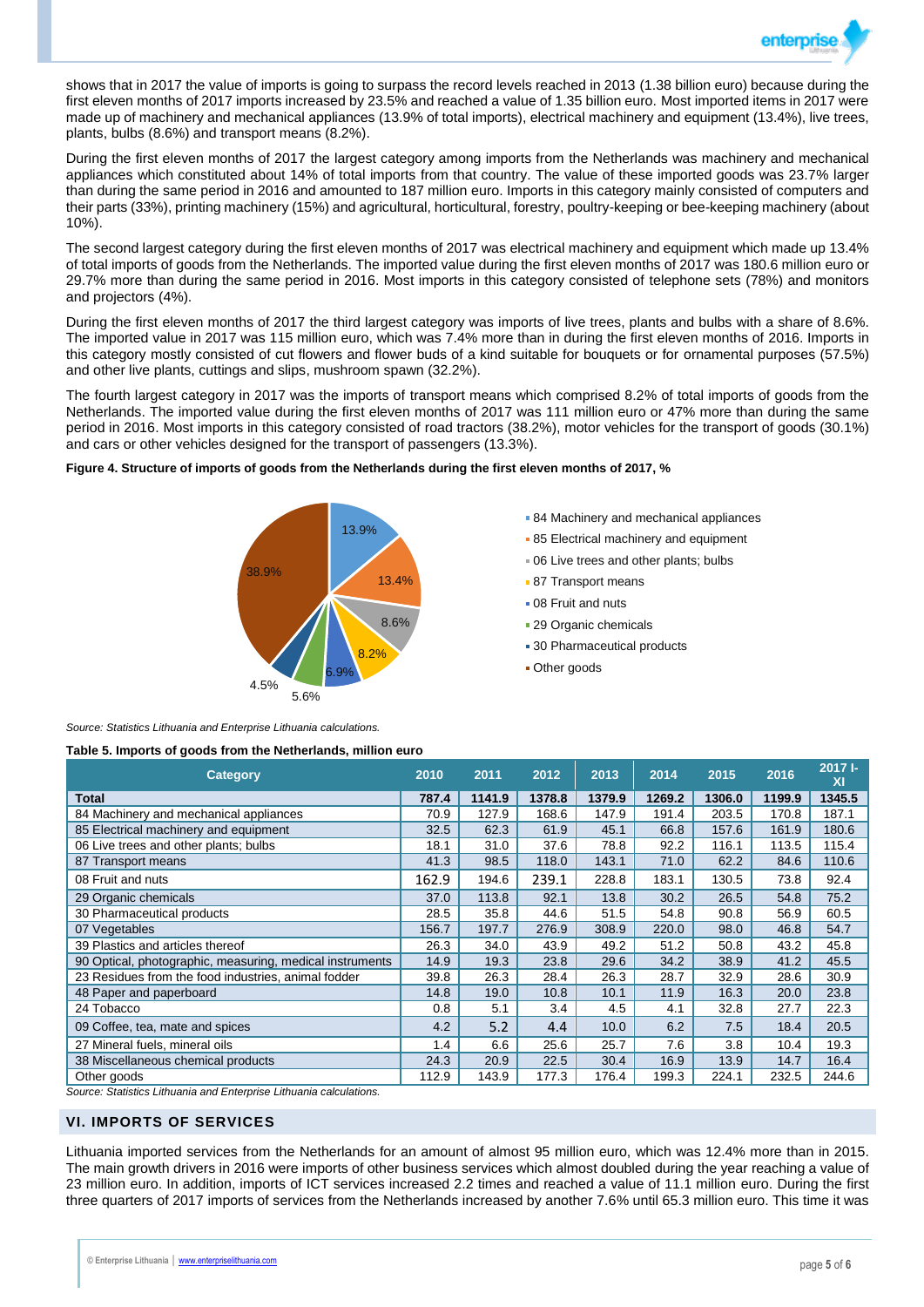

shows that in 2017 the value of imports is going to surpass the record levels reached in 2013 (1.38 billion euro) because during the first eleven months of 2017 imports increased by 23.5% and reached a value of 1.35 billion euro. Most imported items in 2017 were made up of machinery and mechanical appliances (13.9% of total imports), electrical machinery and equipment (13.4%), live trees, plants, bulbs (8.6%) and transport means (8.2%).

During the first eleven months of 2017 the largest category among imports from the Netherlands was machinery and mechanical appliances which constituted about 14% of total imports from that country. The value of these imported goods was 23.7% larger than during the same period in 2016 and amounted to 187 million euro. Imports in this category mainly consisted of computers and their parts (33%), printing machinery (15%) and agricultural, horticultural, forestry, poultry-keeping or bee-keeping machinery (about 10%).

The second largest category during the first eleven months of 2017 was electrical machinery and equipment which made up 13.4% of total imports of goods from the Netherlands. The imported value during the first eleven months of 2017 was 180.6 million euro or 29.7% more than during the same period in 2016. Most imports in this category consisted of telephone sets (78%) and monitors and projectors (4%).

During the first eleven months of 2017 the third largest category was imports of live trees, plants and bulbs with a share of 8.6%. The imported value in 2017 was 115 million euro, which was 7.4% more than in during the first eleven months of 2016. Imports in this category mostly consisted of cut flowers and flower buds of a kind suitable for bouquets or for ornamental purposes (57.5%) and other live plants, cuttings and slips, mushroom spawn (32.2%).

The fourth largest category in 2017 was the imports of transport means which comprised 8.2% of total imports of goods from the Netherlands. The imported value during the first eleven months of 2017 was 111 million euro or 47% more than during the same period in 2016. Most imports in this category consisted of road tractors (38.2%), motor vehicles for the transport of goods (30.1%) and cars or other vehicles designed for the transport of passengers (13.3%).

#### **Figure 4. Structure of imports of goods from the Netherlands during the first eleven months of 2017, %**



- **84 Machinery and mechanical appliances**
- **85 Electrical machinery and equipment**
- 06 Live trees and other plants; bulbs
- 87 Transport means
- 08 Fruit and nuts
- **29 Organic chemicals**
- **30 Pharmaceutical products**
- Other goods

*Source: Statistics Lithuania and Enterprise Lithuania calculations.*

| Category                                                           | 2010  | 2011   | 2012   | 2013   | 2014   | 2015   | 2016   | $2017 -$<br>XI |
|--------------------------------------------------------------------|-------|--------|--------|--------|--------|--------|--------|----------------|
| <b>Total</b>                                                       | 787.4 | 1141.9 | 1378.8 | 1379.9 | 1269.2 | 1306.0 | 1199.9 | 1345.5         |
| 84 Machinery and mechanical appliances                             | 70.9  | 127.9  | 168.6  | 147.9  | 191.4  | 203.5  | 170.8  | 187.1          |
| 85 Electrical machinery and equipment                              | 32.5  | 62.3   | 61.9   | 45.1   | 66.8   | 157.6  | 161.9  | 180.6          |
| 06 Live trees and other plants; bulbs                              | 18.1  | 31.0   | 37.6   | 78.8   | 92.2   | 116.1  | 113.5  | 115.4          |
| 87 Transport means                                                 | 41.3  | 98.5   | 118.0  | 143.1  | 71.0   | 62.2   | 84.6   | 110.6          |
| 08 Fruit and nuts                                                  | 162.9 | 194.6  | 239.1  | 228.8  | 183.1  | 130.5  | 73.8   | 92.4           |
| 29 Organic chemicals                                               | 37.0  | 113.8  | 92.1   | 13.8   | 30.2   | 26.5   | 54.8   | 75.2           |
| 30 Pharmaceutical products                                         | 28.5  | 35.8   | 44.6   | 51.5   | 54.8   | 90.8   | 56.9   | 60.5           |
| 07 Vegetables                                                      | 156.7 | 197.7  | 276.9  | 308.9  | 220.0  | 98.0   | 46.8   | 54.7           |
| 39 Plastics and articles thereof                                   | 26.3  | 34.0   | 43.9   | 49.2   | 51.2   | 50.8   | 43.2   | 45.8           |
| 90 Optical, photographic, measuring, medical instruments           | 14.9  | 19.3   | 23.8   | 29.6   | 34.2   | 38.9   | 41.2   | 45.5           |
| 23 Residues from the food industries, animal fodder                | 39.8  | 26.3   | 28.4   | 26.3   | 28.7   | 32.9   | 28.6   | 30.9           |
| 48 Paper and paperboard                                            | 14.8  | 19.0   | 10.8   | 10.1   | 11.9   | 16.3   | 20.0   | 23.8           |
| 24 Tobacco                                                         | 0.8   | 5.1    | 3.4    | 4.5    | 4.1    | 32.8   | 27.7   | 22.3           |
| 09 Coffee, tea, mate and spices                                    | 4.2   | 5.2    | 4.4    | 10.0   | 6.2    | 7.5    | 18.4   | 20.5           |
| 27 Mineral fuels, mineral oils                                     | 1.4   | 6.6    | 25.6   | 25.7   | 7.6    | 3.8    | 10.4   | 19.3           |
| 38 Miscellaneous chemical products                                 | 24.3  | 20.9   | 22.5   | 30.4   | 16.9   | 13.9   | 14.7   | 16.4           |
| Other goods                                                        | 112.9 | 143.9  | 177.3  | 176.4  | 199.3  | 224.1  | 232.5  | 244.6          |
| Source: Statistics Lithuania and Enternrise Lithuania calculations |       |        |        |        |        |        |        |                |

*Source: Statistics Lithuania and Enterprise Lithuania calculations.*

# **VI. IMPORTS OF SERVICES**

Lithuania imported services from the Netherlands for an amount of almost 95 million euro, which was 12.4% more than in 2015. The main growth drivers in 2016 were imports of other business services which almost doubled during the year reaching a value of 23 million euro. In addition, imports of ICT services increased 2.2 times and reached a value of 11.1 million euro. During the first three quarters of 2017 imports of services from the Netherlands increased by another 7.6% until 65.3 million euro. This time it was